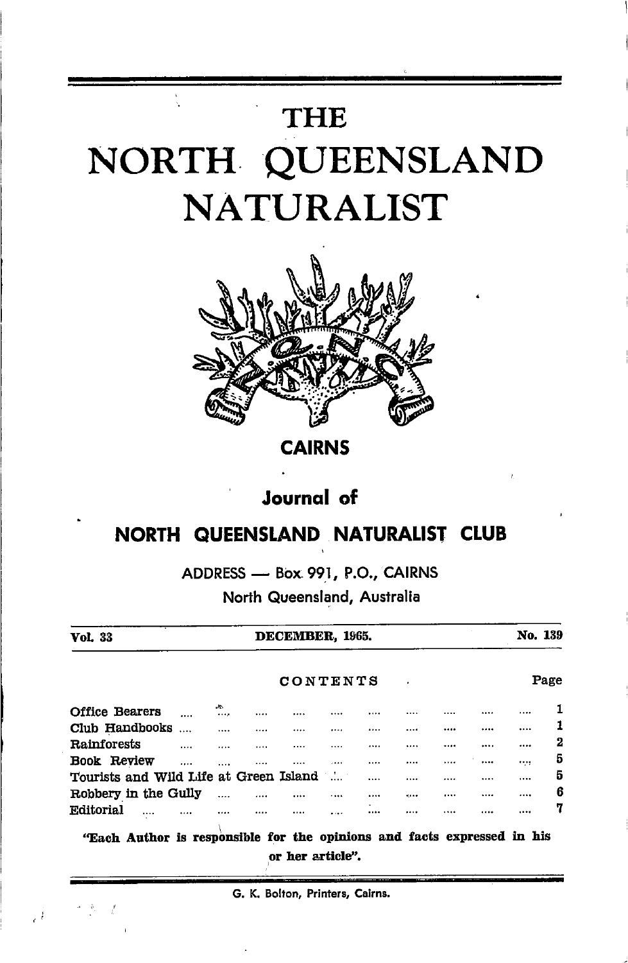# THE NORTH QUEENSLAND NATURALIST



CAIRNS

## Journql of

## NORTH QUEENSLAND NATURALIST CLUB

ADDRESS Box 997, P.O., CAIRNS

- North Queensland, Australia

| Vol. 33                                |   | DECEMBER, 1965. |  |   |   |  |        |  |  | No. 139 |   |  |
|----------------------------------------|---|-----------------|--|---|---|--|--------|--|--|---------|---|--|
|                                        |   | CONTENTS        |  |   |   |  |        |  |  | Page    |   |  |
| Office Bearers                         |   | A.<br>          |  |   | . |  |        |  |  |         | 1 |  |
| Club Handbooks                         |   |                 |  | . |   |  |        |  |  |         | 1 |  |
| Rainforests                            |   |                 |  |   |   |  |        |  |  |         | 2 |  |
| Book Review                            | . |                 |  |   | . |  |        |  |  |         | 5 |  |
| Tourists and Wild Life at Green Island |   |                 |  |   |   |  |        |  |  |         | 5 |  |
| Robbery in the Gully                   |   |                 |  |   |   |  | 4.0000 |  |  |         | 6 |  |
| Editorial<br>                          |   |                 |  |   |   |  |        |  |  |         | 7 |  |

"Each Author is responsible for the opinions and facts expressed in his or her article".

G. K. Bolton, Printers, Cairns.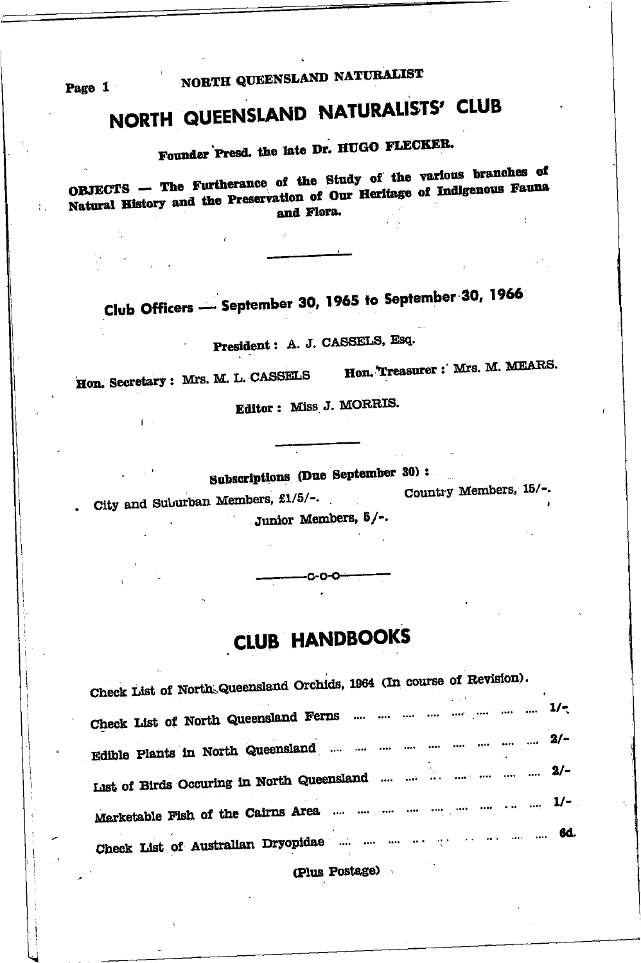NORTH QUEENSLAND NATURALIST

Page 1

 $\mathbf{L}$ 

## NORTH QUEENSLAND NATURALISTS' CLUB

Founder Presd. the late Dr. HUGO FLECKER.

OBJECTS -- The Furtherance of the Study of the various branches of Natural History and the Preservation of Our Heritage of Indigenous Fauna and Flora.

Club Officers - September 30, 1965 to September 30, 1966

President: A. J. CASSELS, Esq.

Hon. Secretary: Mrs. M. L. CASSELS Hon. Treasurer: Mrs. M. MEARS.

Editor: Miss J. MORRIS.

Subscriptions (Due September 30):

City and Suburban Members,  $\pounds1/5/-$ . Country Members,  $15/-$ .

Junior Members, 5/-.

## **CLUB HANDBOOKS**

-0-0-0-

| Check List of North Queensland Orchids, 1964 (In course of Revision). |  |  |
|-----------------------------------------------------------------------|--|--|
| Check List of North Queensland Ferns        1/-                       |  |  |
| Edible Plants in North Queensland        2/-                          |  |  |
| List of Birds Occuring in North Queensland       2/-                  |  |  |
|                                                                       |  |  |
|                                                                       |  |  |

(Plus Postage)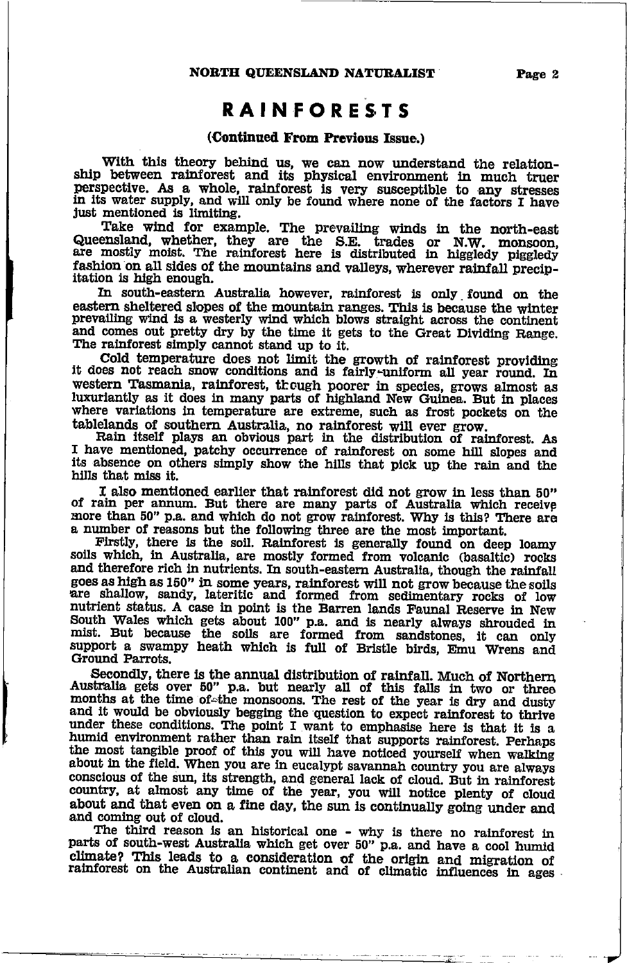## **RAINFORESTS**

#### (Continued From Previous Issue.)

With this theory behind us, we can now understand the relationship between rainforest and its physical environment in much truer perspective. As a whole, rainforest is very susceptible to any stresses in its water supply, and will only be found where none of the factors I have just mentioned is limiting.

Take wind for example. The prevailing winds in the north-east Queensland, whether, they are the S.E. trades or N.W. monsoon, are mostly moist. The rainforest here is distributed in higgledy piggledy fashion on all sides of the mountains and valleys, wherever rainfall precipitation is high enough.

In south-eastern Australia however, rainforest is only found on the eastern sheltered slopes of the mountain ranges. This is because the winter prevailing wind is a westerly wind which blows straight across the continent and comes out pretty dry by the time it gets to the Great Dividing Range. The rainforest simply cannot stand up to it.

Cold temperature does not limit the growth of rainforest providing it does not reach snow conditions and is fairly-uniform all year round. In western Tasmania, rainforest, though poorer in species, grows almost as luxuriantly as it does in many parts of highland New Guinea. But in places where variations in temperature are extreme, such as frost pockets on the tablelands of southern Australia, no rainforest will ever grow.

Rain itself plays an obvious part in the distribution of rainforest. As I have mentioned, patchy occurrence of rainforest on some hill slopes and its absence on others simply show the hills that pick up the rain and the hills that miss it.

I also mentioned earlier that rainforest did not grow in less than 50" of rain per annum. But there are many parts of Australia which receive more than 50" p.a. and which do not grow rainforest. Why is this? There are a number of reasons but the following three are the most important.

Firstly, there is the soil. Rainforest is generally found on deep loamy soils which, in Australia, are mostly formed from volcanic (basaltic) rocks and therefore rich in nutrients. In south-eastern Australia, though the rainfall goes as high as 150" in some years, rainforest will not grow because the soils are shallow, sandy, lateritic and formed from sedimentary rocks of low nutrient status. A case in point is the Barren lands Faunal Reserve in New South Wales which gets about 100" p.a. and is nearly always shrouded in<br>mist. But because the soils are formed from sandstones, it can only<br>support a swampy heath which is full of Bristle birds, Emu Wrens and Ground Parrots.

Secondly, there is the annual distribution of rainfall. Much of Northern Australia gets over 50" p.a. but nearly all of this falls in two or three months at the time of the monsoons. The rest of the year is dry and dusty and it would be obviously begging the question to expect rainforest to thrive under these conditions. The point I want to emphasise here is that it is a humid environment rather than rain itself that supports rainforest. Perhaps the most tangible proof of this you will have noticed yourself when walking about in the field. When you are in eucalypt savannah country you are always conscious of the sun, its strength, and general lack of cloud. But in rainforest country, at almost any time of the year, you will notice plenty of cloud about and that even on a fine day, the sun is continually going under and and coming out of cloud.

The third reason is an historical one - why is there no rainforest in parts of south-west Australia which get over 50" p.a. and have a cool humid climate? This leads to a consideration of the origin and migration of rainforest on the Australian continent and of climatic influences in ages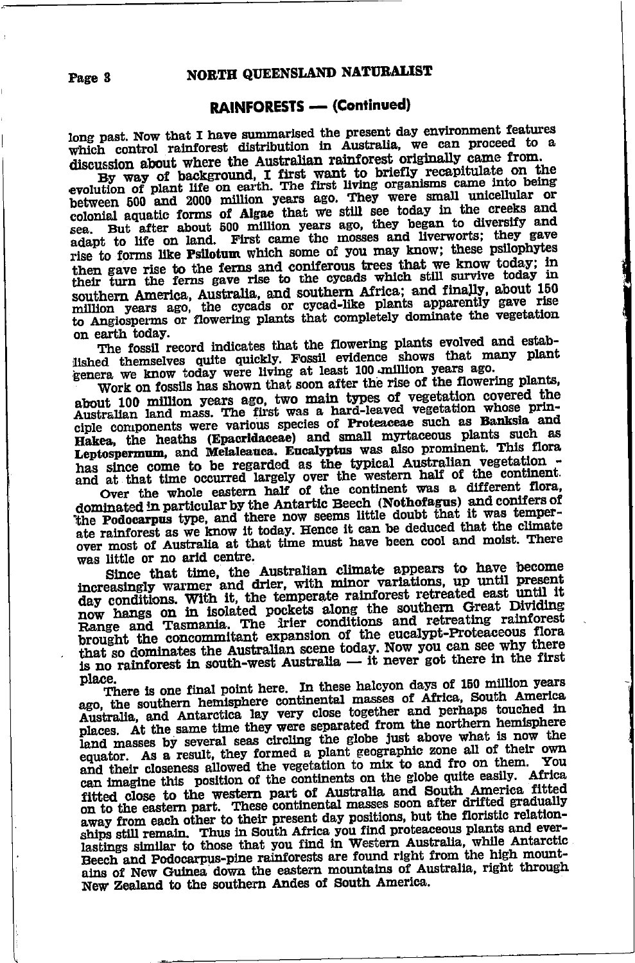#### **RAINFORESTS - (Continued)**

long past. Now that I have summarised the present day environment features which control rainforest distribution in Australia, we can proceed to a discussion about where the Australian rainforest originally came from.

By way of background, I first want to briefly recapitulate on the evolution of plant life on earth. The first living organisms came into being between 500 and 2000 million years ago. They were small unicellular or colonial aquatic forms of Algae that we still see today in the creeks and sea. But after about 500 million years ago, they began to diversify and adapt to life on land. First came the mosses and liverworts; they gave rise to forms like Psilotum which some of you may know; these psilophytes then gave rise to the ferns and coniferous trees that we know today; in their turn the ferns gave rise to the cycads which still survive today in southern America, Australia, and southern Africa; and finally, about 150 million years ago, the cycads or cycad-like plants apparently gave rise to Angiosperms or flowering plants that completely dominate the vegetation on earth today.

The fossil record indicates that the flowering plants evolved and established themselves quite quickly. Fossil evidence shows that many plant genera we know today were living at least 100 million years ago.

Work on fossils has shown that soon after the rise of the flowering plants, about 100 million years ago, two main types of vegetation covered the Australian land mass. The first was a hard-leaved vegetation whose principle components were various species of Proteaceae such as Banksia and Hakea, the heaths (Epacridaceae) and small myrtaceous plants such as Leptospermum, and Melaleauca. Eucalyptus was also prominent. This flora has since come to be regarded as the typical Australian veretation and at that time occurred largely over the western half of the continent.

Over the whole eastern half of the continent was a different flora, dominated in particular by the Antartic Beech (Nothofagus) and conifers of the Podocarpus type, and there now seems little doubt that it was temperate rainforest as we know it today. Hence it can be deduced that the climate over most of Australia at that time must have been cool and moist. There was little or no arid centre.

Since that time, the Australian climate appears to have become increasingly warmer and drier, with minor variations, up until present day conditions. With it, the temperate rainforest retreated east until it now hangs on in isolated pockets along the southern Great Dividing Range and Tasmania. The Irier conditions and retreating rainforest<br>brought the concommitant expansion of the eucalypt-Proteaceous flora that so dominates the Australian scene today. Now you can see why there is no rainforest in south-west Australia — it never got there in the first place.

There is one final point here. In these halcyon days of 150 million years ago, the southern hemisphere continental masses of Africa, South America Australia, and Antarctica lay very close together and perhaps touched in places. At the same time they were separated from the northern hemisphere land masses by several seas circling the globe just above what is now the equator. As a result, they formed a plant geographic zone all of their own and their closeness allowed the vegetation to mix to and fro on them. You can imagine this position of the continents on the globe quite easily. Africa fitted close to the western part of Australia and South America fitted on to the eastern part. These continental masses soon after drifted gradually away from each other to their present day positions, but the floristic relationships still remain. Thus in South Africa you find proteaceous plants and everlastings similar to those that you find in Western Australia, while Antarctic Beech and Podocarpus-pine rainforests are found right from the high mountains of New Guinea down the eastern mountains of Australia, right through New Zealand to the southern Andes of South America.

Page 3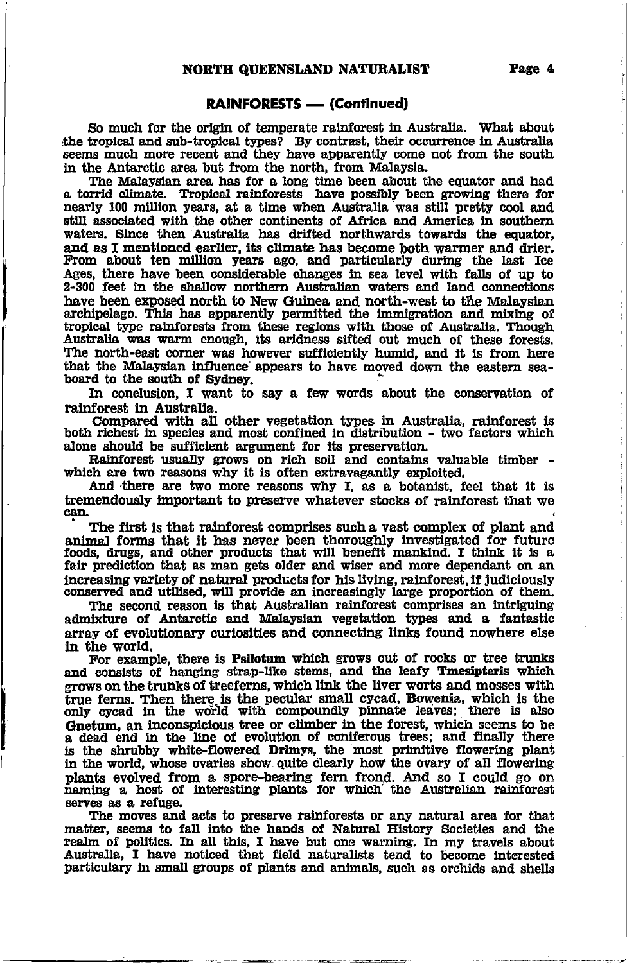#### **RAINFORESTS — (Continued)**

So much for the origin of temperate rainforest in Australia. What about the tropical and sub-tropical types? By contrast, their occurrence in Australia seems much more recent and they have apparently come not from the south in the Antarctic area but from the north, from Malaysia.

The Malaysian area has for a long time been about the equator and had a torrid climate. Tropical rainforests have possibly been growing there for nearly 100 million years, at a time when Australia was still pretty cool and still associated with the other continents of Africa and America in southern waters. Since then Australia has drifted northwards towards the equator. and as I mentioned earlier, its climate has become both warmer and drier. From about ten million years ago, and particularly during the last Ice Ages, there have been considerable changes in sea level with falls of up to 2-300 feet in the shallow northern Australian waters and land connections have been exposed north to New Guinea and north-west to the Malaysian archipelago. This has apparently permitted the immigration and mixing of tropical type rainforests from these regions with those of Australia. Though Australia was warm enough, its aridness sifted out much of these forests. The north-east corner was however sufficiently humid, and it is from here that the Malaysian influence appears to have moved down the eastern seaboard to the south of Sydney.

In conclusion. I want to say a few words about the conservation of rainforest in Australia.

Compared with all other vegetation types in Australia, rainforest is both richest in species and most confined in distribution - two factors which alone should be sufficient argument for its preservation.

Rainforest usually grows on rich soil and contains valuable timber which are two reasons why it is often extravagantly exploited.

And there are two more reasons why I, as a botanist, feel that it is tremendously important to preserve whatever stocks of rainforest that we can.

The first is that rainforest comprises such a vast complex of plant and animal forms that it has never been thoroughly investigated for future foods, drugs, and other products that will benefit mankind. I think it is a fair prediction that as man gets older and wiser and more dependant on an increasing variety of natural products for his living, rainforest, if judiciously conserved and utilised, will provide an increasingly large proportion of them.

The second reason is that Australian rainforest comprises an intriguing admixture of Antarctic and Malaysian vegetation types and a fantastic array of evolutionary curiosities and connecting links found nowhere else in the world.

For example, there is Psilotum which grows out of rocks or tree trunks and consists of hanging strap-like stems, and the leafy Tmesipteris which grows on the trunks of treeferns, which link the liver worts and mosses with true ferns. Then there is the pecular small cycad, Bowenia, which is the only cycad in the world with compoundly pinnate leaves; there is also Gnetum, an inconspicious tree or climber in the forest, which seems to be a dead end in the line of evolution of coniferous trees; and finally there is the shrubby white-flowered Drimys, the most primitive flowering plant<br>in the world, whose ovaries show quite clearly how the ovary of all flowering plants evolved from a spore-bearing fern frond. And so I could go on naming a host of interesting plants for which the Australian rainforest serves as a refuge.

The moves and acts to preserve rainforests or any natural area for that matter, seems to fall into the hands of Natural History Societies and the realm of politics. In all this, I have but one warning. In my travels about Australia, I have noticed that field naturalists tend to become interest particulary in small groups of plants and animals, such as orchids and shells

÷,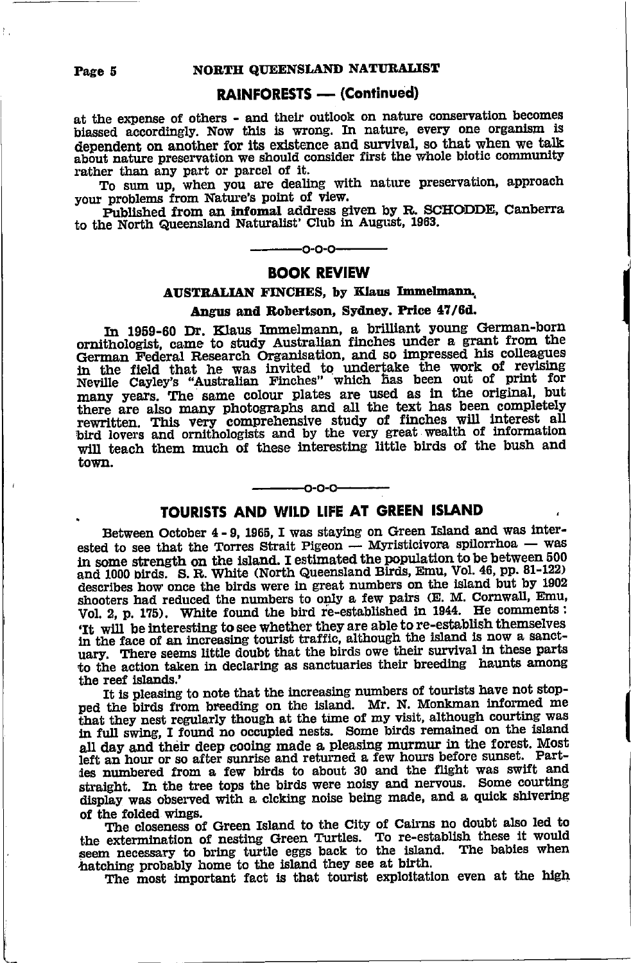### **RAINFORESTS - (Continued)**

at the expense of others - and their outlook on nature conservation becomes biassed accordingly. Now this is wrong. In nature, every one organism is dependent on another for its existence and survival. so that when we talk about nature preservation we should consider first the whole biotic community rather than any part or parcel of it.

To sum up, when you are dealing with nature preservation, approach your problems from Nature's point of view.

Published from an infomal address given by R. SCHODDE, Canberra to the North Queensland Naturalist' Club in August, 1963.

## $-0-0-0-$

#### **BOOK REVIEW**

#### **AUSTRALIAN FINCHES, by Klaus Immelmann,**

#### Angus and Robertson. Sydney. Price 47/6d.

In 1959-60 Dr. Klaus Immelmann, a brilliant young German-born<br>ornithologist, came to study Australian finches under a grant from the German Federal Research Organisation, and so impressed his colleagues in the field that he was invited to undertake the work of revising<br>Neville Cayley's "Australian Finches" which has been out of print for<br>many years. The same colour plates are used as in the original, but<br>there are also ma rewritten. This very comprehensive study of finches will interest all<br>bird lovers and ornithologists and by the very great wealth of information will teach them much of these interesting little birds of the bush and town.

## $-0.0 - 0$ TOURISTS AND WILD LIFE AT GREEN ISLAND

Between October 4 - 9, 1965. I was staying on Green Island and was interested to see that the Torres Strait Pigeon - Myristicivora spilorrhoa - was in some strength on the island. I estimated the population to be between 500 and 1000 birds. S. R. White (North Queensland Birds, Emu, Vol. 46, pp. 81-122) describes how once the birds were in great numbers on the island but by 1902 shooters had reduced the numbers to only a few pairs (E. M. Cornwall, Emu, Vol. 2, p. 175). White found the bird re-established in 1944. He comments: 'It will be interesting to see whether they are able to re-establish themselves in the face of an increasing tourist traffic, although the island is now a sanctuary. There seems little doubt that the birds owe their survival in these parts to the action taken in declaring as sanctuaries their breeding haunts among the reef islands.'

It is pleasing to note that the increasing numbers of tourists have not stopped the birds from breeding on the island. Mr. N. Monkman informed me that they nest regularly though at the time of my visit, although courting was in full swing, I found no occupied nests. Some birds remained on the island all day and their deep cooing made a pleasing murmur in the forest. Most left an hour or so after sunrise and returned a few hours before sunset. Parties numbered from a few birds to about 30 and the flight was swift and straight. In the tree tops the birds were noisy and nervous. Some courting display was observed with a clcking noise being made, and a quick shivering of the folded wings.

The closeness of Green Island to the City of Cairns no doubt also led to the extermination of nesting Green Turtles. To re-establish these it would seem necessary to bring turtle eggs back to the island. The babies when hatching probably home to the island they see at birth.

The most important fact is that tourist exploitation even at the high

Page 5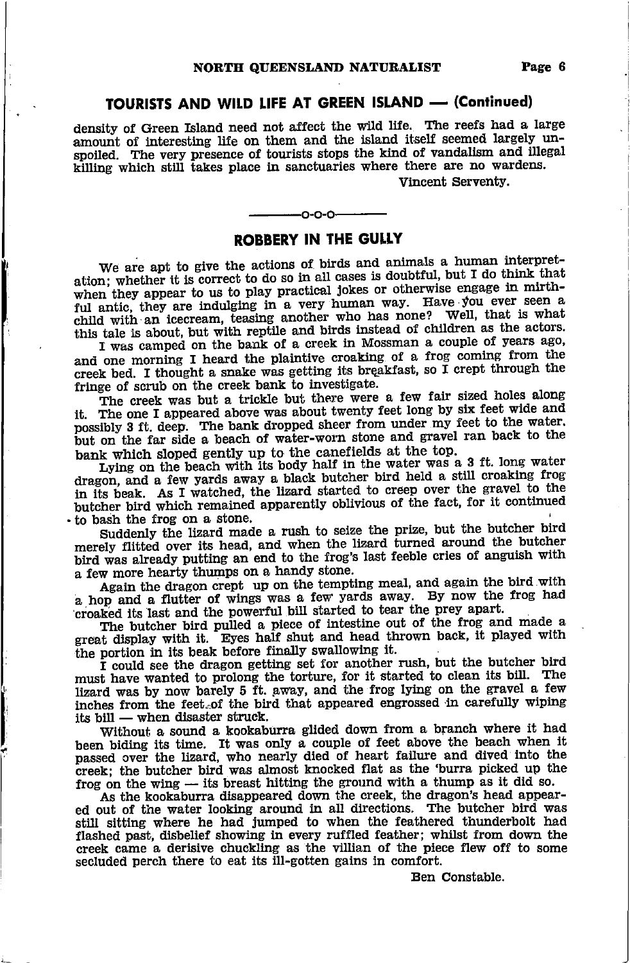#### TOURISTS AND WILD LIFE AT GREEN ISLAND - (Continued)

density of Green Island need not affect the wild life. The reefs had a large amount of interesting life on them and the island itself seemed largely unspoiled. The very presence of tourists stops the kind of vandalism and illegal killing which still takes place in sanctuaries where there are no wardens.

#### Vincent Serventy.

## -0-0-0-**ROBBERY IN THE GULLY**

We are apt to give the actions of birds and animals a human interpretation; whether it is correct to do so in all cases is doubtful, but I do think that when they appear to us to play practical jokes or otherwise engage in mirthful antic, they are indulging in a very human way. Have you ever seen a child with an icecream, teasing another who has none? Well, that is what this tale is about, but with reptile and birds instead of children as the actors.

I was camped on the bank of a creek in Mossman a couple of years ago, and one morning I heard the plaintive croaking of a frog coming from the creek bed. I thought a snake was getting its breakfast, so  $\overline{I}$  crept through the fringe of scrub on the creek bank to investigate.

The creek was but a trickle but there were a few fair sized holes along it. The one I appeared above was about twenty feet long by six feet wide and possibly 3 ft. deep. The bank dropped sheer from under my feet to the water. but on the far side a beach of water-worn stone and gravel ran back to the bank which sloped gently up to the canefields at the top.

Lying on the beach with its body half in the water was a 3 ft. long water dragon, and a few yards away a black butcher bird held a still croaking frog in its beak. As I watched, the lizard started to creep over the gravel to the butcher bird which remained apparently oblivious of the fact, for it continued to bash the frog on a stone.

Suddenly the lizard made a rush to seize the prize, but the butcher bird merely flitted over its head, and when the lizard turned around the butcher bird was already putting an end to the frog's last feeble cries of anguish with a few more hearty thumps on a handy stone.

Again the dragon crept up on the tempting meal, and again the bird with a hop and a flutter of wings was a few yards away. By now the frog had croaked its last and the powerful bill started to tear the prey apart.

The butcher bird pulled a piece of intestine out of the frog and made a great display with it. Eyes half shut and head thrown back, it played with the portion in its beak before finally swallowing it.

I could see the dragon getting set for another rush, but the butcher bird must have wanted to prolong the torture, for it started to clean its bill. The lizard was by now barely 5 ft. away, and the frog lying on the gravel a few inches from the feet of the bird that appeared engrossed in carefully wiping its bill - when disaster struck.

Without a sound a kookaburra glided down from a branch where it had been biding its time. It was only a couple of feet above the beach when it passed over the lizard, who nearly died of heart failure and dived into the creek; the butcher bird was almost knocked flat as the 'burra picked up the frog on the wing  $-$  its breast hitting the ground with a thump as it did so.

As the kookaburra disappeared down the creek, the dragon's head appeared out of the water looking around in all directions. The butcher bird was still sitting where he had jumped to when the feathered thunderbolt had flashed past, disbelief showing in every ruffled feather; whilst from down the creek came a derisive chuckling as the villian of the piece flew off to some secluded perch there to eat its ill-gotten gains in comfort.

Ben Constable.